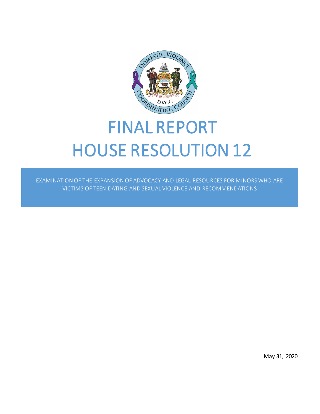

# FINAL REPORT HOUSE RESOLUTION 12

EXAMINATION OF THE EXPANSION OF ADVOCACY AND LEGAL RESOURCES FOR MINORS WHO ARE VICTIMS OF TEEN DATING AND SEXUAL VIOLENCE AND RECOMMENDATIONS

May 31, 2020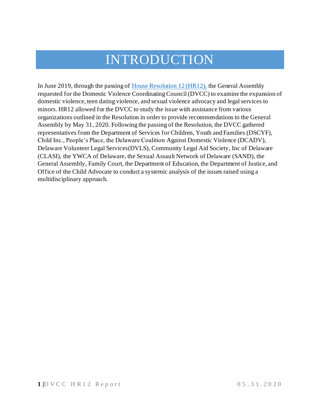# INTRODUCTION

In June 2019, through the passing o[f House Resolution 12 \(HR12\),](https://legiscan.com/DE/text/HR12/2019) the General Assembly requested for the Domestic Violence Coordinating Council (DVCC) to examine the expansion of domestic violence, teen dating violence, and sexual violence advocacy and legal services to minors. HR12 allowed for the DVCC to study the issue with assistance from various organizations outlined in the Resolution in order to provide recommendations to the General Assembly by May 31, 2020. Following the passing of the Resolution, the DVCC gathered representatives from the Department of Services for Children, Youth and Families (DSCYF), Child Inc., People's Place, the Delaware Coalition Against Domestic Violence (DCADV), Delaware Volunteer Legal Services(DVLS), Community Legal Aid Society, Inc of Delaware (CLASI), the YWCA of Delaware, the Sexual Assault Network of Delaware (SAND), the General Assembly, Family Court, the Department of Education, the Department of Justice, and Office of the Child Advocate to conduct a systemic analysis of the issues raised using a multidisciplinary approach.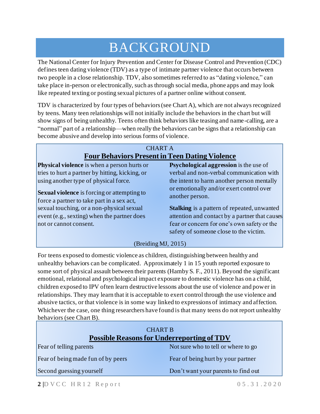## BACKGROUND

The National Center for Injury Prevention and Center for Disease Control and Prevention (CDC) defines teen dating violence (TDV) as a type of intimate partner violence that occurs between two people in a close relationship. TDV, also sometimes referred to as "dating violence," can take place in-person or electronically, such as through social media, phone apps and may look like repeated texting or posting sexual pictures of a partner online without consent.

TDV is characterized by four types of behaviors (see Chart A), which are not always recognized by teens. Many teen relationships will not initially include the behaviors in the chart but will show signs of being unhealthy. Teens often think behaviors like teasing and name-calling, are a "normal" part of a relationship—when really the behaviors can be signs that a relationship can become abusive and develop into serious forms of violence.

#### CHART A **Four Behaviors Present in Teen Dating Violence Physical violence** is when a person hurts or tries to hurt a partner by hitting, kicking, or using another type of physical force. **Sexual violence** is forcing or attempting to force a partner to take part in a sex act, sexual touching, or a non-physical sexual event (e.g., sexting) when the partner does not or cannot consent. **Psychological aggression** is the use of verbal and non-verbal communication with the intent to harm another person mentally or emotionally and/or exert control over another person. **Stalking** is a pattern of repeated, unwanted attention and contact by a partner that causes fear or concern for one's own safety or the safety of someone close to the victim. (Breiding MJ, 2015)

For teens exposed to domestic violence as children, distinguishing between healthy and unhealthy behaviors can be complicated. Approximately 1 in 15 youth reported exposure to some sort of physical assault between their parents (Hamby S. F., 2011). Beyond the significant emotional, relational and psychological impact exposure to domestic violence has on a child, children exposed to IPV often learn destructive lessons about the use of violence and power in relationships. They may learn that it is acceptable to exert control through the use violence and abusive tactics, or that violence is in some way linked to expressions of intimacy and affection. Whichever the case, one thing researchers have found is that many teens do not report unhealthy behaviors (see Chart B).

| <b>CHART B</b><br><b>Possible Reasons for Underreporting of TDV</b> |                                     |
|---------------------------------------------------------------------|-------------------------------------|
| Fear of telling parents                                             | Not sure who to tell or where to go |
| Fear of being made fun of by peers                                  | Fear of being hurt by your partner  |
| Second guessing yourself                                            | Don't want your parents to find out |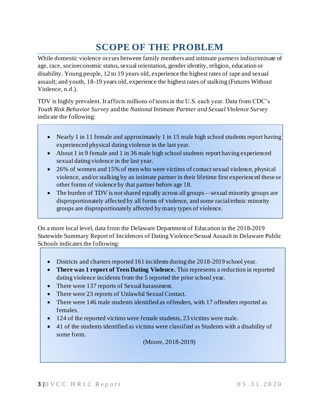## **SCOPE OF THE PROBLEM**

While domestic violence occurs between family members and intimate partners indiscriminate of age, race, socioeconomic status, sexual orientation, gender identity, religion, education or disability. Young people, 12 to 19 years old, experience the highest rates of rape and sexual assault; and youth, 18-19 years old, experience the highest rates of stalking (Futures Without Violence, n.d.).

TDV is highly prevalent. It affects millions of teens in the U.S. each year. Data from CDC's *Youth Risk Behavior Survey* and the *National Intimate Partner and Sexual Violence Survey* indicate the following:

- Nearly 1 in 11 female and approximately 1 in 15 male high school students report having experienced physical dating violence in the last year.
- About 1 in 9 female and 1 in 36 male high school students report having experienced sexual dating violence in the last year.
- 26% of women and 15% of men who were victims of contact sexual violence, physical violence, and/or stalking by an intimate partner in their lifetime first experienced these or other forms of violence by that partner before age 18.
- The burden of TDV is not shared equally across all groups—sexual minority groups are disproportionately affected by all forms of violence, and some racial/ethnic minority groups are disproportionately affected by many types of violence.

On a more local level, data from the Delaware Department of Education in the 2018-2019 Statewide Summary Report of Incidences of Dating Violence/Sexual Assault in Delaware Public Schools indicates the following:

- Districts and charters reported 161 incidents during the 2018-2019 school year.
- **There was 1 report of Teen Dating Violence.** This represents a reduction in reported dating violence incidents from the 5 reported the prior school year.
- There were 137 reports of Sexual harassment.
- There were 23 reports of Unlawful Sexual Contact.
- There were 146 male students identified as offenders, with 17 offenders reported as females.
- 124 of the reported victims were female students, 23 victims were male.
- 41 of the students identified as victims were classified as Students with a disability of some form.

(Moore, 2018-2019)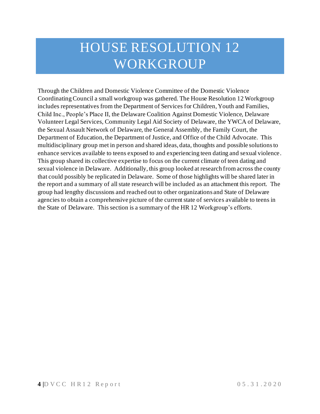# HOUSE RESOLUTION 12 WORKGROUP

Through the Children and Domestic Violence Committee of the Domestic Violence Coordinating Council a small workgroup was gathered. The House Resolution 12 Workgroup includes representatives from the Department of Services for Children, Youth and Families, Child Inc., People's Place II, the Delaware Coalition Against Domestic Violence, Delaware Volunteer Legal Services, Community Legal Aid Society of Delaware, the YWCA of Delaware, the Sexual Assault Network of Delaware, the General Assembly, the Family Court, the Department of Education, the Department of Justice, and Office of the Child Advocate. This multidisciplinary group met in person and shared ideas, data, thoughts and possible solutionsto enhance services available to teens exposed to and experiencing teen dating and sexual violence. This group shared its collective expertise to focus on the current climate of teen dating and sexual violence in Delaware. Additionally, this group looked at research from across the county that could possibly be replicated in Delaware. Some of those highlights will be shared later in the report and a summary of all state research will be included as an attachment this report. The group had lengthy discussions and reached out to other organizations and State of Delaware agencies to obtain a comprehensive picture of the current state of services available to teens in the State of Delaware. This section is a summary of the HR 12 Workgroup's efforts.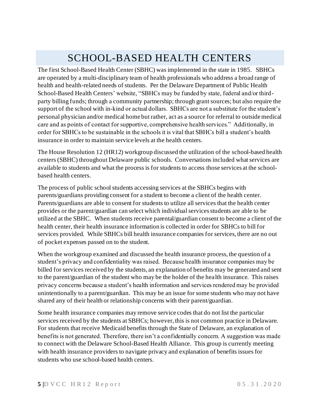## SCHOOL-BASED HEALTH CENTERS

The first School-Based Health Center (SBHC) was implemented in the state in 1985. SBHCs are operated by a multi-disciplinary team of health professionals who address a broad range of health and health-related needs of students. Per the Delaware Department of Public Health School-Based Health Centers' website, "SBHCs may be funded by state, federal and/or thirdparty billing funds; through a community partnership; through grant sources; but also require the support of the school with in-kind or actual dollars. SBHCs are not a substitute for the student's personal physician and/or medical home but rather, act as a source for referral to outside medical care and as points of contact for supportive, comprehensive health services." Additionally, in order for SBHCs to be sustainable in the schools it is vital that SBHCs bill a student's health insurance in order to maintain service levels at the health centers.

The House Resolution 12 (HR12) workgroup discussed the utilization of the school-based health centers (SBHC) throughout Delaware public schools. Conversations included what services are available to students and what the process is for students to access those services at the schoolbased health centers.

The process of public school students accessing services at the SBHCs begins with parents/guardians providing consent for a student to become a client of the health center. Parents/guardians are able to consent for students to utilize all services that the health center provides or the parent/guardian can select which individual services students are able to be utilized at the SBHC. When students receive parental/guardian consent to become a client of the health center, their health insurance information is collected in order for SBHCs to bill for services provided. While SBHCs bill health insurance companies for services, there are no out of pocket expenses passed on to the student.

When the workgroup examined and discussed the health insurance process, the question of a student's privacy and confidentiality was raised. Because health insurance companies may be billed for services received by the students, an explanation of benefits may be generated and sent to the parent/guardian of the student who may be the holder of the health insurance. This raises privacy concerns because a student's health information and services rendered may be provided unintentionally to a parent/guardian. This may be an issue for some students who may not have shared any of their health or relationship concerns with their parent/guardian.

Some health insurance companies may remove service codes that do not list the particular services received by the students at SBHCs; however, this is not common practice in Delaware. For students that receive Medicaid benefits through the State of Delaware, an explanation of benefits is not generated. Therefore, there isn't a confidentially concern. A suggestion was made to connect with the Delaware School-Based Health Alliance. This group is currently meeting with health insurance providers to navigate privacy and explanation of benefits issues for students who use school-based health centers.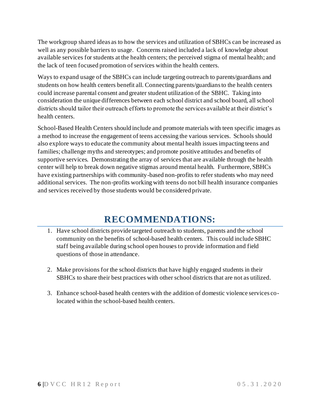The workgroup shared ideas as to how the services and utilization of SBHCs can be increased as well as any possible barriers to usage. Concerns raised included a lack of knowledge about available services for students at the health centers; the perceived stigma of mental health; and the lack of teen focused promotion of services within the health centers.

Ways to expand usage of the SBHCs can include targeting outreach to parents/guardians and students on how health centers benefit all. Connecting parents/guardians to the health centers could increase parental consent and greater student utilization of the SBHC. Taking into consideration the unique differences between each school district and school board, all school districts should tailor their outreach efforts to promote the services available at their district's health centers.

School-Based Health Centers should include and promote materials with teen specific images as a method to increase the engagement of teens accessing the various services. Schools should also explore ways to educate the community about mental health issues impacting teens and families; challenge myths and stereotypes; and promote positive attitudes and benefits of supportive services. Demonstrating the array of services that are available through the health center will help to break down negative stigmas around mental health. Furthermore, SBHCs have existing partnerships with community-based non-profits to refer students who may need additional services. The non-profits working with teens do not bill health insurance companies and services received by those students would be considered private.

### **RECOMMENDATIONS:**

- 1. Have school districts provide targeted outreach to students, parents and the school community on the benefits of school-based health centers. This could include SBHC staff being available during school open houses to provide information and field questions of those in attendance.
- 2. Make provisions for the school districts that have highly engaged students in their SBHCs to share their best practices with other school districts that are not as utilized.
- 3. Enhance school-based health centers with the addition of domestic violence services colocated within the school-based health centers.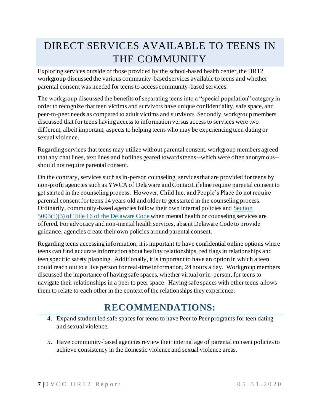## DIRECT SERVICES AVAILABLE TO TEENS IN THE COMMUNITY

Exploring services outside of those provided by the school-based health center, the HR12 workgroup discussed the various community-based services available to teens and whether parental consent was needed for teens to access community-based services.

The workgroup discussed the benefits of separating teens into a "special population" category in order to recognize that teen victims and survivors have unique confidentiality, safe space, and peer-to-peer needs as compared to adult victims and survivors. Secondly, workgroup members discussed that for teens having access to information versus access to services were two different, albeit important, aspects to helping teens who may be experiencing teen dating or sexual violence.

Regarding services that teens may utilize without parental consent, workgroup members agreed that any chat lines, text lines and hotlines geared towards teens--which were often anonymous- should not require parental consent.

On the contrary, services such as in-person counseling, services that are provided for teens by non-profit agencies such as YWCA of Delaware and ContactLifeline require parental consent to get started in the counseling process. However, Child Inc. and People's Place do not require parental consent for teens 14 years old and older to get started in the counseling process. Ordinarily, community-based agencies follow their own internal policies an[d Section](https://delcode.delaware.gov/title16/c050/index.shtml)  5003(f)(3) [of Title 16 of the Delaware Code](https://delcode.delaware.gov/title16/c050/index.shtml) when mental health or counseling services are offered. For advocacy and non-mental health services, absent Delaware Code to provide guidance, agencies create their own policies around parental consent.

Regarding teens accessing information, it is important to have confidential online options where teens can find accurate information about healthy relationships, red flags in relationships and teen specific safety planning. Additionally, it is important to have an option in which a teen could reach out to a live person for real-time information, 24 hours a day. Workgroup members discussed the importance of having safe spaces, whether virtual or in-person, for teens to navigate their relationships in a peer to peer space. Having safe spaces with other teens allows them to relate to each other in the context of the relationships they experience.

## **RECOMMENDATIONS:**

- 4. Expand student led safe spaces for teens to have Peer to Peer programs for teen dating and sexual violence.
- 5. Have community-based agencies review their internal age of parental consent policies to achieve consistency in the domestic violence and sexual violence areas.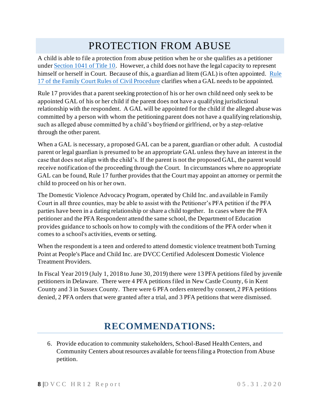## PROTECTION FROM ABUSE

A child is able to file a protection from abuse petition when he or she qualifies as a petitioner unde[r Section 1041 of Title 10](https://delcode.delaware.gov/title10/c009/sc03/). However, a child does not have the legal capacity to represent himself or herself in Court. Because of this, a guardian ad litem (GAL) is often appointed. [Rule](https://courts.delaware.gov/rules/pdf/FamilyCourtCivilRulesAmendment-Rules1-15-17-302.pdf)  [17 of the Family Court Rules of Civil Procedure](https://courts.delaware.gov/rules/pdf/FamilyCourtCivilRulesAmendment-Rules1-15-17-302.pdf) clarifies when a GAL needs to be appointed.

Rule 17 provides that a parent seeking protection of his or her own child need only seek to be appointed GAL of his or her child if the parent does not have a qualifying jurisdictional relationship with the respondent. A GAL will be appointed for the child if the alleged abuse was committed by a person with whom the petitioning parent does not have a qualifying relationship, such as alleged abuse committed by a child's boyfriend or girlfriend, or by a step-relative through the other parent.

When a GAL is necessary, a proposed GAL can be a parent, guardian or other adult. A custodial parent or legal guardian is presumed to be an appropriate GAL unless they have an interest in the case that does not align with the child's. If the parent is not the proposed GAL, the parent would receive notification of the proceeding through the Court. In circumstances where no appropriate GAL can be found, Rule 17 further provides that the Court may appoint an attorney or permit the child to proceed on his or her own.

The Domestic Violence Advocacy Program, operated by Child Inc. and available in Family Court in all three counties, may be able to assist with the Petitioner's PFA petition if the PFA parties have been in a dating relationship or share a child together. In cases where the PFA petitioner and the PFA Respondent attend the same school, the Department of Education provides guidance to schools on how to comply with the conditions of the PFA order when it comes to a school's activities, events or setting.

When the respondent is a teen and ordered to attend domestic violence treatment both Turning Point at People's Place and Child Inc. are DVCC Certified Adolescent Domestic Violence Treatment Providers.

In Fiscal Year 2019 (July 1, 2018 to June 30, 2019) there were 13 PFA petitions filed by juvenile petitioners in Delaware. There were 4 PFA petitions filed in New Castle County, 6 in Kent County and 3 in Sussex County. There were 6 PFA orders entered by consent, 2 PFA petitions denied, 2 PFA orders that were granted after a trial, and 3 PFA petitions that were dismissed.

## **RECOMMENDATIONS:**

6. Provide education to community stakeholders, School-Based Health Centers, and Community Centers about resources available for teens filing a Protection from Abuse petition.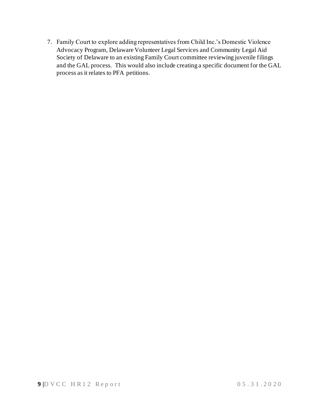7. Family Court to explore adding representatives from Child Inc.'s Domestic Violence Advocacy Program, Delaware Volunteer Legal Services and Community Legal Aid Society of Delaware to an existing Family Court committee reviewing juvenile filings and the GAL process. This would also include creating a specific document for the GAL process as it relates to PFA petitions.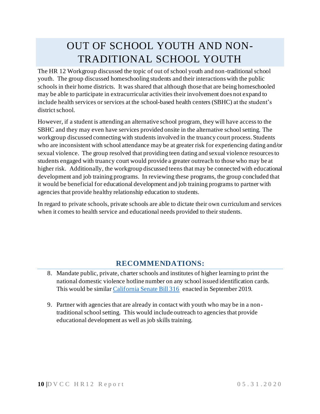## OUT OF SCHOOL YOUTH AND NON-TRADITIONAL SCHOOL YOUTH

The HR 12 Workgroup discussed the topic of out of school youth and non-traditional school youth. The group discussed homeschooling students and their interactions with the public schools in their home districts. It was shared that although those that are being homeschooled may be able to participate in extracurricular activities their involvement does not expand to include health services or services at the school-based health centers (SBHC) at the student's district school.

However, if a student is attending an alternative school program, they will have accessto the SBHC and they may even have services provided onsite in the alternative school setting. The workgroup discussed connecting with students involved in the truancy court process. Students who are inconsistent with school attendance may be at greater risk for experiencing dating and/or sexual violence. The group resolved that providing teen dating and sexual violence resources to students engaged with truancy court would provide a greater outreach to those who may be at higher risk. Additionally, the workgroup discussed teens that may be connected with educational development and job training programs. In reviewing these programs, the group concluded that it would be beneficial for educational development and job training programs to partner with agencies that provide healthy relationship education to students.

In regard to private schools, private schools are able to dictate their own curriculum and services when it comes to health service and educational needs provided to their students.

### **RECOMMENDATIONS:**

- 8. Mandate public, private, charter schools and institutes of higher learning to print the national domestic violence hotline number on any school issued identification cards. This would be similar [California Senate Bill 316](https://leginfo.legislature.ca.gov/faces/billNavClient.xhtml?bill_id=201920200SB316) enacted in September 2019.
- 9. Partner with agencies that are already in contact with youth who may be in a nontraditional school setting. This would include outreach to agencies that provide educational development as well as job skills training.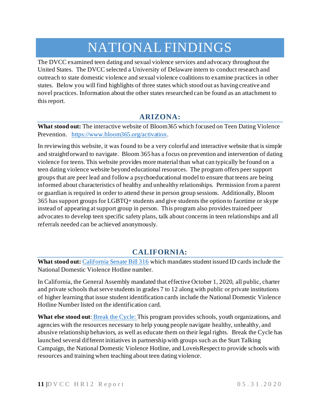## NATIONAL FINDINGS

The DVCC examined teen dating and sexual violence services and advocacy throughout the United States. The DVCC selected a University of Delaware intern to conduct research and outreach to state domestic violence and sexual violence coalitions to examine practices in other states. Below you will find highlights of three states which stood out as having creative and novel practices. Information about the other states researched can be found as an attachment to this report.

### **ARIZONA:**

**What stood out:** The interactive website of Bloom365 which focused on Teen Dating Violence Prevention. <https://www.bloom365.org/activation>.

In reviewing this website, it was found to be a very colorful and interactive website that is simple and straightforward to navigate. Bloom 365 has a focus on prevention and intervention of dating violence for teens. This website provides more material than what can typically be found on a teen dating violence website beyond educational resources. The program offers peer support groups that are peer lead and follow a psychoeducational model to ensure that teens are being informed about characteristics of healthy and unhealthy relationships. Permission from a parent or guardian is required in order to attend these in person group sessions. Additionally, Bloom 365 has support groups for LGBTQ+ students and give students the option to facetime or skype instead of appearing at support group in person. This program also provides trained peer advocates to develop teen specific safety plans, talk about concerns in teen relationships and all referrals needed can be achieved anonymously.

### **CALIFORNIA:**

**What stood out:** [California Senate Bill 316](https://leginfo.legislature.ca.gov/faces/billNavClient.xhtml?bill_id=201920200SB316) which mandates student issued ID cards include the National Domestic Violence Hotline number.

In California, the General Assembly mandated that effective October 1, 2020, all public, charter and private schools that serve students in grades 7 to 12 along with public or private institutions of higher learning that issue student identification cards include the National Domestic Violence Hotline Number listed on the identification card.

What else stood out: **[Break the Cycle:](https://www.breakthecycle.org/leadership-education.)** This program provides schools, youth organizations, and agencies with the resources necessary to help young people navigate healthy, unhealthy, and abusive relationship behaviors, as well as educate them on their legal rights. Break the Cycle has launched several different initiatives in partnership with groups such as the Start Talking Campaign, the National Domestic Violence Hotline, and LoveisRespect to provide schools with resources and training when teaching about teen dating violence.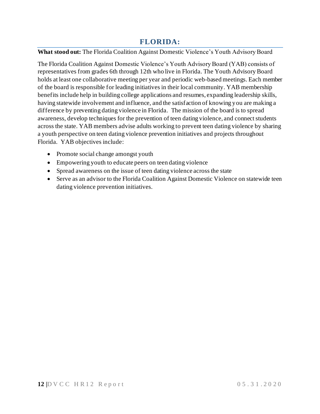### **FLORIDA:**

#### **What stood out:** The Florida Coalition Against Domestic Violence's Youth Advisory Board

The Florida Coalition Against Domestic Violence's Youth Advisory Board (YAB) consists of representatives from grades 6th through 12th who live in Florida. The Youth Advisory Board holds at least one collaborative meeting per year and periodic web-based meetings. Each member of the board is responsible for leading initiatives in their local community. YAB membership benefits include help in building college applications and resumes, expanding leadership skills, having statewide involvement and influence, and the satisfaction of knowing you are making a difference by preventing dating violence in Florida. The mission of the board is to spread awareness, develop techniques for the prevention of teen dating violence, and connect students across the state. YAB members advise adults working to prevent teen dating violence by sharing a youth perspective on teen dating violence prevention initiatives and projects throughout Florida. YAB objectives include:

- Promote social change amongst youth
- Empowering youth to educate peers on teen dating violence
- Spread awareness on the issue of teen dating violence across the state
- Serve as an advisor to the Florida Coalition Against Domestic Violence on statewide teen dating violence prevention initiatives.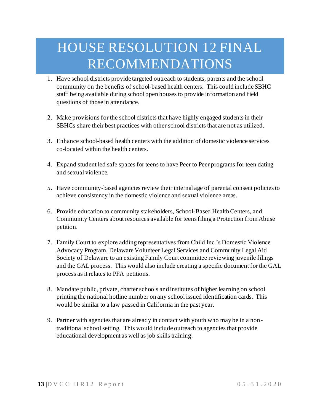# HOUSE RESOLUTION 12 FINAL RECOMMENDATIONS

- 1. Have school districts provide targeted outreach to students, parents and the school community on the benefits of school-based health centers. This could include SBHC staff being available during school open houses to provide information and field questions of those in attendance.
- 2. Make provisions for the school districts that have highly engaged students in their SBHCs share their best practices with other school districts that are not as utilized.
- 3. Enhance school-based health centers with the addition of domestic violence services co-located within the health centers.
- 4. Expand student led safe spaces for teens to have Peer to Peer programs for teen dating and sexual violence.
- 5. Have community-based agencies review their internal age of parental consent policies to achieve consistency in the domestic violence and sexual violence areas.
- 6. Provide education to community stakeholders, School-Based Health Centers, and Community Centers about resources available for teens filing a Protection from Abuse petition.
- 7. Family Court to explore adding representatives from Child Inc.'s Domestic Violence Advocacy Program, Delaware Volunteer Legal Services and Community Legal Aid Society of Delaware to an existing Family Court committee reviewing juvenile filings and the GAL process. This would also include creating a specific document for the GAL process as it relates to PFA petitions.
- 8. Mandate public, private, charter schools and institutes of higher learning on school printing the national hotline number on any school issued identification cards. This would be similar to a law passed in California in the past year.
- 9. Partner with agencies that are already in contact with youth who may be in a nontraditional school setting. This would include outreach to agencies that provide educational development as well as job skills training.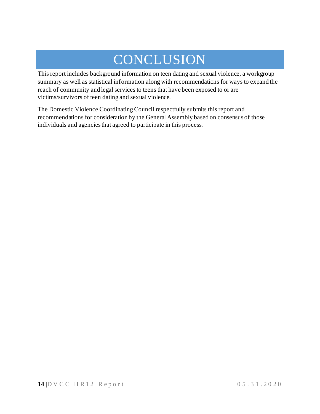# **CONCLUSION**

This report includes background information on teen dating and sexual violence, a workgroup summary as well as statistical information along with recommendations for ways to expand the reach of community and legal services to teens that have been exposed to or are victims/survivors of teen dating and sexual violence.

The Domestic Violence Coordinating Council respectfully submits this report and recommendations for consideration by the General Assembly based on consensus of those individuals and agencies that agreed to participate in this process.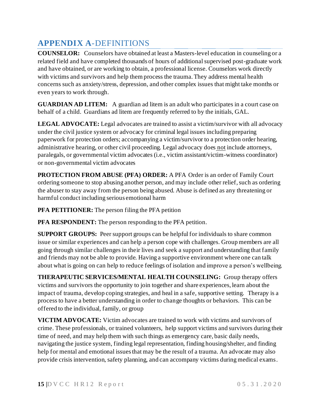### **APPENDIX A**-DEFINITIONS

**COUNSELOR:** Counselors have obtained at least a Masters-level education in counseling or a related field and have completed thousands of hours of additional supervised post-graduate work and have obtained, or are working to obtain, a professional license. Counselors work directly with victims and survivors and help them process the trauma. They address mental health concerns such as anxiety/stress, depression, and other complex issues that might take months or even years to work through.

**GUARDIAN AD LITEM:** A guardian ad litem is an adult who participates in a court case on behalf of a child. Guardians ad litem are frequently referred to by the initials, GAL.

**LEGAL ADVOCATE:** Legal advocates are trained to assist a victim/survivor with all advocacy under the civil justice system or advocacy for criminal legal issues including preparing paperwork for protection orders; accompanying a victim/survivor to a protection order hearing, administrative hearing, or other civil proceeding. Legal advocacy does not include attorneys, paralegals, or governmental victim advocates (i.e., victim assistant/victim-witness coordinator) or non-governmental victim advocates

**PROTECTION FROM ABUSE (PFA) ORDER:** A PFA Order is an order of Family Court ordering someone to stop abusing another person, and may include other relief, such as ordering the abuser to stay away from the person being abused. Abuse is defined as any threatening or harmful conduct including serious emotional harm

**PFA PETITIONER:** The person filing the PFA petition

**PFA RESPONDENT:** The person responding to the PFA petition.

**SUPPORT GROUPS:** Peer support groups can be helpful for individuals to share common issue or similar experiences and can help a person cope with challenges. Group members are all going through similar challenges in their lives and seek a support and understanding that family and friends may not be able to provide. Having a supportive environment where one can talk about what is going on can help to reduce feelings of isolation and improve a person's wellbeing.

**THERAPEUTIC SERVICES/MENTAL HEALTH COUNSELING:** Group therapy offers victims and survivors the opportunity to join together and share experiences, learn about the impact of trauma, develop coping strategies, and heal in a safe, supportive setting. Therapy is a process to have a better understanding in order to change thoughts or behaviors. This can be offered to the individual, family, or group

**VICTIM ADVOCATE:** Victim advocates are trained to work with victims and survivors of crime. These professionals, or trained volunteers, help support victims and survivors during their time of need, and may help them with such things as emergency care, basic daily needs, navigating the justice system, finding legal representation, finding housing/shelter, and finding help for mental and emotional issues that may be the result of a trauma. An advocate may also provide crisis intervention, safety planning, and can accompany victims during medical exams.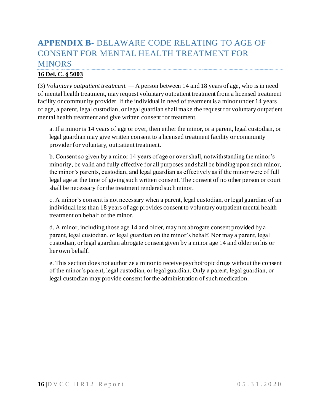### **APPENDIX B**- DELAWARE CODE RELATING TO AGE OF CONSENT FOR MENTAL HEALTH TREATMENT FOR MINORS

#### **[16 Del. C. § 5003](https://delcode.delaware.gov/title16/c050/index.shtml)**

(3) *Voluntary outpatient treatment. —* A person between 14 and 18 years of age, who is in need of mental health treatment, may request voluntary outpatient treatment from a licensed treatment facility or community provider. If the individual in need of treatment is a minor under 14 years of age, a parent, legal custodian, or legal guardian shall make the request for voluntary outpatient mental health treatment and give written consent for treatment.

a. If a minor is 14 years of age or over, then either the minor, or a parent, legal custodian, or legal guardian may give written consent to a licensed treatment facility or community provider for voluntary, outpatient treatment.

b. Consent so given by a minor 14 years of age or over shall, notwithstanding the minor's minority, be valid and fully effective for all purposes and shall be binding upon such minor, the minor's parents, custodian, and legal guardian as effectively as if the minor were of full legal age at the time of giving such written consent. The consent of no other person or court shall be necessary for the treatment rendered such minor.

c. A minor's consent is not necessary when a parent, legal custodian, or legal guardian of an individual less than 18 years of age provides consent to voluntary outpatient mental health treatment on behalf of the minor.

d. A minor, including those age 14 and older, may not abrogate consent provided by a parent, legal custodian, or legal guardian on the minor's behalf. Nor may a parent, legal custodian, or legal guardian abrogate consent given by a minor age 14 and older on his or her own behalf.

e. This section does not authorize a minor to receive psychotropic drugs without the consent of the minor's parent, legal custodian, or legal guardian. Only a parent, legal guardian, or legal custodian may provide consent for the administration of such medication.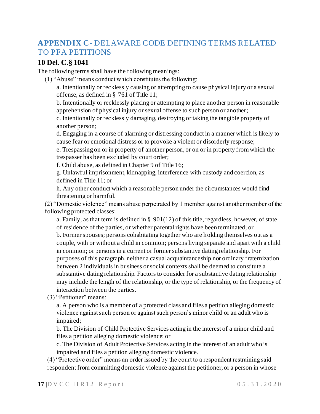### **APPENDIX C**- DELAWARE CODE DEFINING TERMS RELATED TO PFA PETITIONS

#### **10 Del. C.§ 1041**

The following terms shall have the following meanings:

(1) "Abuse" means conduct which constitutes the following:

a. Intentionally or recklessly causing or attempting to cause physical injury or a sexual offense, as defined in § 761 of Title 11;

b. Intentionally or recklessly placing or attempting to place another person in reasonable apprehension of physical injury or sexual offense to such person or another;

c. Intentionally or recklessly damaging, destroying or taking the tangible property of another person;

d. Engaging in a course of alarming or distressing conduct in a manner which is likely to cause fear or emotional distress or to provoke a violent or disorderly response;

e. Trespassing on or in property of another person, or on or in property from which the trespasser has been excluded by court order;

f. Child abuse, as defined in Chapter 9 of Title 16;

g. Unlawful imprisonment, kidnapping, interference with custody and coercion, as defined in Title 11; or

h. Any other conduct which a reasonable person under the circumstances would find threatening or harmful.

(2) "Domestic violence" means abuse perpetrated by 1 member against another member of the following protected classes:

a. Family, as that term is defined in  $\S$  901(12) of this title, regardless, however, of state of residence of the parties, or whether parental rights have been terminated; or b. Former spouses; persons cohabitating together who are holding themselves out as a couple, with or without a child in common; persons living separate and apart with a child in common; or persons in a current or former substantive dating relationship. For purposes of this paragraph, neither a casual acquaintanceship nor ordinary fraternization between 2 individuals in business or social contexts shall be deemed to constitute a substantive dating relationship. Factors to consider for a substantive dating relationship may include the length of the relationship, or the type of relationship, or the frequency of interaction between the parties.

(3) "Petitioner" means:

a. A person who is a member of a protected class and files a petition alleging domestic violence against such person or against such person's minor child or an adult who is impaired;

b. The Division of Child Protective Services acting in the interest of a minor child and files a petition alleging domestic violence; or

c. The Division of Adult Protective Services acting in the interest of an adult who is impaired and files a petition alleging domestic violence.

(4) "Protective order" means an order issued by the court to a respondent restraining said respondent from committing domestic violence against the petitioner, or a person in whose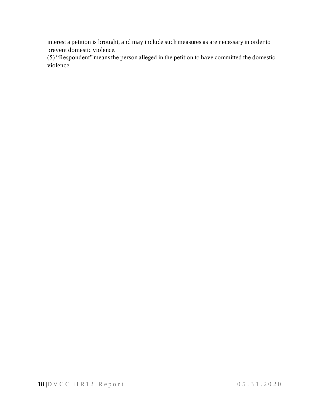interest a petition is brought, and may include such measures as are necessary in order to prevent domestic violence.

(5) "Respondent" means the person alleged in the petition to have committed the domestic violence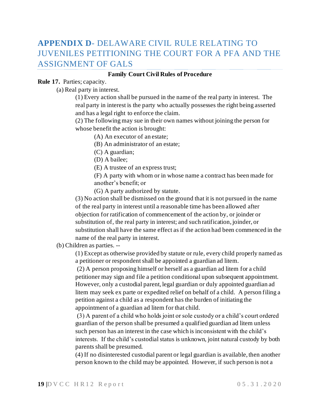### **APPENDIX D**- DELAWARE CIVIL RULE RELATING TO JUVENILES PETITIONING THE COURT FOR A PFA AND THE ASSIGNMENT OF GALS

#### **Family Court Civil Rules of Procedure**

#### **Rule 17.** Parties; capacity.

(a) Real party in interest.

(1) Every action shall be pursued in the name of the real party in interest. The real party in interest is the party who actually possesses the right being asserted and has a legal right to enforce the claim.

(2) The following may sue in their own names without joining the person for whose benefit the action is brought:

(A) An executor of an estate;

(B) An administrator of an estate;

(C) A guardian;

(D) A bailee;

(E) A trustee of an express trust;

(F) A party with whom or in whose name a contract has been made for another's benefit; or

(G) A party authorized by statute.

(3) No action shall be dismissed on the ground that it is not pursued in the name of the real party in interest until a reasonable time has been allowed after objection for ratification of commencement of the action by, or joinder or substitution of, the real party in interest; and such ratification, joinder, or substitution shall have the same effect as if the action had been commenced in the name of the real party in interest.

(b) Children as parties. --

(1) Except as otherwise provided by statute or rule, every child properly named as a petitioner or respondent shall be appointed a guardian ad litem.

(2) A person proposing himself or herself as a guardian ad litem for a child petitioner may sign and file a petition conditional upon subsequent appointment. However, only a custodial parent, legal guardian or duly appointed guardian ad litem may seek ex parte or expedited relief on behalf of a child. A person filing a petition against a child as a respondent has the burden of initiating the appointment of a guardian ad litem for that child.

(3) A parent of a child who holds joint or sole custody or a child's court ordered guardian of the person shall be presumed a qualified guardian ad litem unless such person has an interest in the case which is inconsistent with the child's interests. If the child's custodial status is unknown, joint natural custody by both parents shall be presumed.

(4) If no disinterested custodial parent or legal guardian is available, then another person known to the child may be appointed. However, if such person is not a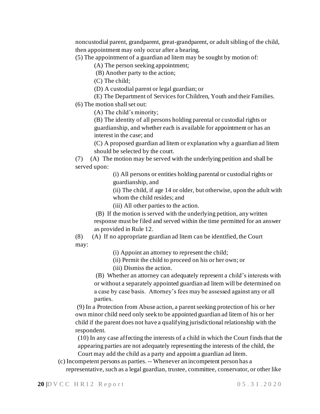noncustodial parent, grandparent, great-grandparent, or adult sibling of the child, then appointment may only occur after a hearing.

(5) The appointment of a guardian ad litem may be sought by motion of:

(A) The person seeking appointment;

(B) Another party to the action;

(C) The child;

(D) A custodial parent or legal guardian; or

(E) The Department of Services for Children, Youth and their Families.

(6) The motion shall set out:

(A) The child's minority;

(B) The identity of all persons holding parental or custodial rights or guardianship, and whether each is available for appointment or has an interest in the case; and

(C) A proposed guardian ad litem or explanation why a guardian ad litem should be selected by the court.

(7) (A) The motion may be served with the underlying petition and shall be served upon:

> (i) All persons or entities holding parental or custodial rights or guardianship, and

(ii) The child, if age 14 or older, but otherwise, upon the adult with whom the child resides; and

(iii) All other parties to the action.

(B) If the motion is served with the underlying petition, any written response must be filed and served within the time permitted for an answer as provided in Rule 12.

(8) (A) If no appropriate guardian ad litem can be identified, the Court may:

(i) Appoint an attorney to represent the child;

(ii) Permit the child to proceed on his or her own; or

(iii) Dismiss the action.

(B) Whether an attorney can adequately represent a child's interests with or without a separately appointed guardian ad litem will be determined on a case by case basis. Attorney's fees may be assessed against any or all parties.

(9) In a Protection from Abuse action, a parent seeking protection of his or her own minor child need only seek to be appointed guardian ad litem of his or her child if the parent does not have a qualifying jurisdictional relationship with the respondent.

(10) In any case affecting the interests of a child in which the Court finds that the appearing parties are not adequately representing the interests of the child, the Court may add the child as a party and appoint a guardian ad litem.

(c) Incompetent persons as parties. -- Whenever an incompetent person has a representative, such as a legal guardian, trustee, committee, conservator, or other like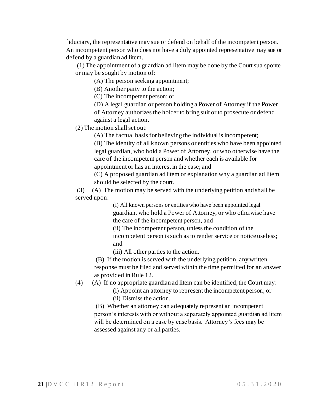fiduciary, the representative may sue or defend on behalf of the incompetent person. An incompetent person who does not have a duly appointed representative may sue or defend by a guardian ad litem.

(1) The appointment of a guardian ad litem may be done by the Court sua sponte or may be sought by motion of:

(A) The person seeking appointment;

(B) Another party to the action;

(C) The incompetent person; or

(D) A legal guardian or person holding a Power of Attorney if the Power of Attorney authorizes the holder to bring suit or to prosecute or defend against a legal action.

(2) The motion shall set out:

(A) The factual basis for believing the individual is incompetent;

(B) The identity of all known persons or entities who have been appointed legal guardian, who hold a Power of Attorney, or who otherwise have the care of the incompetent person and whether each is available for appointment or has an interest in the case; and

(C) A proposed guardian ad litem or explanation why a guardian ad litem should be selected by the court.

(3) (A) The motion may be served with the underlying petition and shall be served upon:

> (i) All known persons or entities who have been appointed legal guardian, who hold a Power of Attorney, or who otherwise have the care of the incompetent person, and

(ii) The incompetent person, unless the condition of the incompetent person is such as to render service or notice useless; and

(iii) All other parties to the action.

(B) If the motion is served with the underlying petition, any written response must be filed and served within the time permitted for an answer as provided in Rule 12.

(4) (A) If no appropriate guardian ad litem can be identified, the Court may:

(i) Appoint an attorney to represent the incompetent person; or (ii) Dismiss the action.

(B) Whether an attorney can adequately represent an incompetent person's interests with or without a separately appointed guardian ad litem will be determined on a case by case basis. Attorney's fees may be assessed against any or all parties.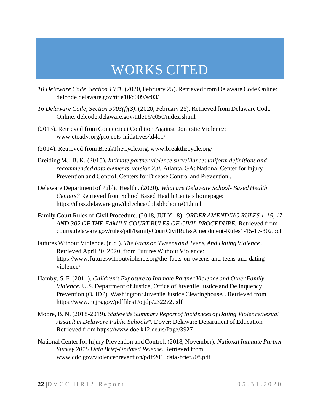## WORKS CITED

- *10 Delaware Code, Section 1041*. (2020, February 25). Retrieved from Delaware Code Online: delcode.delaware.gov/title10/c009/sc03/
- *16 Delaware Code, Section 5003(f)(3)*. (2020, February 25). Retrieved from Delaware Code Online: delcode.delaware.gov/title16/c050/index.shtml
- (2013). Retrieved from Connecticut Coalition Against Domestic Violence: www.ctcadv.org/projects-initiatives/td411/
- (2014). Retrieved from BreakTheCycle.org: www.breakthecycle.org/
- Breiding MJ, B. K. (2015). *Intimate partner violence surveillance: uniform definitions and recommended data elements, version 2.0.* Atlanta, GA: National Center for Injury Prevention and Control, Centers for Disease Control and Prevention .
- Delaware Department of Public Health . (2020). *What are Delaware School- Based Health Centers?* Retrieved from School Based Health Centers homepage: https://dhss.delaware.gov/dph/chca/dphsbhchome01.html
- Family Court Rules of Civil Procedure. (2018, JULY 18). *ORDER AMENDING RULES 1-15, 17 AND 302 OF THE FAMILY COURT RULES OF CIVIL PROCEDURE.* Retrieved from courts.delaware.gov/rules/pdf/FamilyCourtCivilRulesAmendment-Rules1-15-17-302.pdf
- Futures Without Violence. (n.d.). *The Facts on Tweens and Teens, And Dating Violence*. Retrieved April 30, 2020, from Futures Without Violence: https://www.futureswithoutviolence.org/the-facts-on-tweens-and-teens-and-datingviolence/
- Hamby, S. F. (2011). *Children's Exposure to Intimate Partner Violence and Other Family Violence.* U.S. Department of Justice, Office of Juvenile Justice and Delinquency Prevention (OJJDP). Washington: Juvenile Justice Clearinghouse. . Retrieved from https://www.ncjrs.gov/pdffiles1/ojjdp/232272.pdf
- Moore, B. N. (2018-2019). *Statewide Summary Report of Incidences of Dating Violence/Sexual Assault in Delaware Public Schools\*.* Dover: Delaware Department of Education. Retrieved from https://www.doe.k12.de.us/Page/3927
- National Center for Injury Prevention and Control. (2018, November). *National Intimate Partner Survey 2015 Data Brief-Updated Release*. Retrieved from www.cdc.gov/violenceprevention/pdf/2015data-brief508.pdf